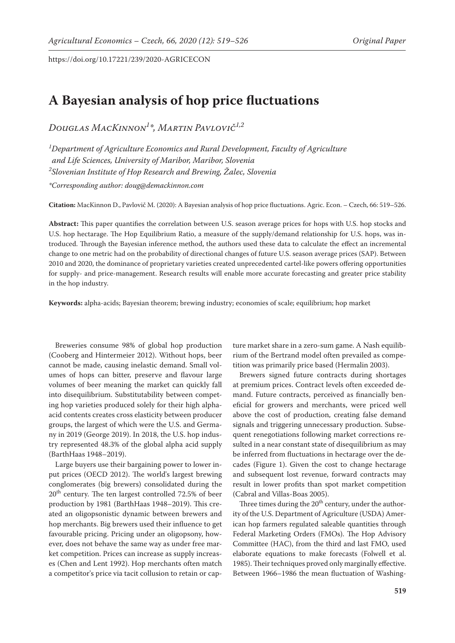# **A Bayesian analysis of hop price fluctuations**

*Douglas MacKinnon1 \*, Martin Pavlovič1,2*

*1 Department of Agriculture Economics and Rural Development, Faculty of Agriculture and Life Sciences, University of Maribor, Maribor, Slovenia 2 Slovenian Institute of Hop Research and Brewing, Žalec, Slovenia* 

*\*Corresponding author: doug@demackinnon.com*

**Citation:** MacKinnon D., Pavlovič M. (2020): A Bayesian analysis of hop price fluctuations. Agric. Econ. – Czech, 66: 519–526.

**Abstract:** This paper quantifies the correlation between U.S. season average prices for hops with U.S. hop stocks and U.S. hop hectarage. The Hop Equilibrium Ratio, a measure of the supply/demand relationship for U.S. hops, was introduced. Through the Bayesian inference method, the authors used these data to calculate the effect an incremental change to one metric had on the probability of directional changes of future U.S. season average prices (SAP). Between 2010 and 2020, the dominance of proprietary varieties created unprecedented cartel-like powers offering opportunities for supply- and price-management. Research results will enable more accurate forecasting and greater price stability in the hop industry.

**Keywords:** alpha-acids; Bayesian theorem; brewing industry; economies of scale; equilibrium; hop market

Breweries consume 98% of global hop production (Cooberg and Hintermeier 2012). Without hops, beer cannot be made, causing inelastic demand. Small volumes of hops can bitter, preserve and flavour large volumes of beer meaning the market can quickly fall into disequilibrium. Substitutability between competing hop varieties produced solely for their high alphaacid contents creates cross elasticity between producer groups, the largest of which were the U.S. and Germany in 2019 (George 2019). In 2018, the U.S. hop industry represented 48.3% of the global alpha acid supply (BarthHaas 1948–2019).

Large buyers use their bargaining power to lower input prices (OECD 2012). The world's largest brewing conglomerates (big brewers) consolidated during the 20<sup>th</sup> century. The ten largest controlled 72.5% of beer production by 1981 (BarthHaas 1948–2019). This created an oligopsonistic dynamic between brewers and hop merchants. Big brewers used their influence to get favourable pricing. Pricing under an oligopsony, however, does not behave the same way as under free market competition. Prices can increase as supply increases (Chen and Lent 1992). Hop merchants often match a competitor's price via tacit collusion to retain or capture market share in a zero-sum game. A Nash equilibrium of the Bertrand model often prevailed as competition was primarily price based (Hermalin 2003).

Brewers signed future contracts during shortages at premium prices. Contract levels often exceeded demand. Future contracts, perceived as financially beneficial for growers and merchants, were priced well above the cost of production, creating false demand signals and triggering unnecessary production. Subsequent renegotiations following market corrections resulted in a near constant state of disequilibrium as may be inferred from fluctuations in hectarage over the decades (Figure 1). Given the cost to change hectarage and subsequent lost revenue, forward contracts may result in lower profits than spot market competition (Cabral and Villas-Boas 2005).

Three times during the  $20<sup>th</sup>$  century, under the authority of the U.S. Department of Agriculture (USDA) American hop farmers regulated saleable quantities through Federal Marketing Orders (FMOs). The Hop Advisory Committee (HAC), from the third and last FMO, used elaborate equations to make forecasts (Folwell et al. 1985). Their techniques proved only marginally effective. Between 1966–1986 the mean fluctuation of Washing-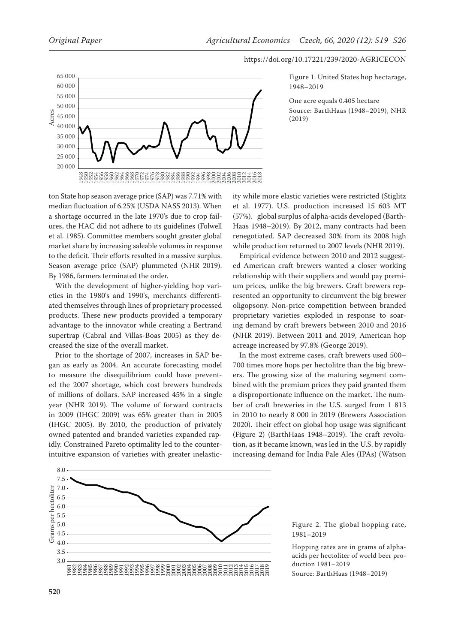

Figure 1. United States hop hectarage, 1948–2019

One acre equals 0.405 hectare Source: BarthHaas (1948–2019), NHR (2019)



ton State hop season average price (SAP) was 7.71% with median fluctuation of 6.25% (USDA NASS 2013). When a shortage occurred in the late 1970's due to crop failures, the HAC did not adhere to its guidelines (Folwell et al. 1985). Committee members sought greater global market share by increasing saleable volumes in response to the deficit. Their efforts resulted in a massive surplus. Season average price (SAP) plummeted (NHR 2019). By 1986, farmers terminated the order.

With the development of higher-yielding hop varieties in the 1980's and 1990's, merchants differentiated themselves through lines of proprietary processed products. These new products provided a temporary advantage to the innovator while creating a Bertrand supertrap (Cabral and Villas-Boas 2005) as they decreased the size of the overall market.

Prior to the shortage of 2007, increases in SAP began as early as 2004. An accurate forecasting model to measure the disequilibrium could have prevented the 2007 shortage, which cost brewers hundreds of millions of dollars. SAP increased 45% in a single year (NHR 2019). The volume of forward contracts in 2009 (IHGC 2009) was 65% greater than in 2005 (IHGC 2005). By 2010, the production of privately owned patented and branded varieties expanded rapidly. Constrained Pareto optimality led to the counterintuitive expansion of varieties with greater inelastic-20 000<br>ton State<br>median 1<br>a shorta<br>a shorta<br>a shorta<br>et al. 198<br>market sto the de<br>Season is With<br>eties in ated the product:<br>advantagent are ased Prior 1<br>and as upertra<br>creased Prior 1<br>gan as 6<br>meased Prior 1<br>gan as 6<br>mease

ity while more elastic varieties were restricted (Stiglitz et al. 1977). U.S. production increased 15 603 MT (57%). global surplus of alpha-acids developed (Barth-Haas 1948–2019). By 2012, many contracts had been renegotiated. SAP decreased 30% from its 2008 high while production returned to 2007 levels (NHR 2019).

Empirical evidence between 2010 and 2012 suggested American craft brewers wanted a closer working relationship with their suppliers and would pay premium prices, unlike the big brewers. Craft brewers represented an opportunity to circumvent the big brewer oligopsony. Non-price competition between branded proprietary varieties exploded in response to soaring demand by craft brewers between 2010 and 2016 (NHR 2019). Between 2011 and 2019, American hop acreage increased by 97.8% (George 2019).

In the most extreme cases, craft brewers used 500– 700 times more hops per hectolitre than the big brewers. The growing size of the maturing segment combined with the premium prices they paid granted them a disproportionate influence on the market. The number of craft breweries in the U.S. surged from 1 813 in 2010 to nearly 8 000 in 2019 (Brewers Association 2020). Their effect on global hop usage was significant (Figure 2) (BarthHaas 1948–2019). The craft revolution, as it became known, was led in the U.S. by rapidly increasing demand for India Pale Ales (IPAs) (Watson



Figure 2. The global hopping rate, 1981–2019

Hopping rates are in grams of alphaacids per hectoliter of world beer production 1981–2019

Source: BarthHaas (1948–2019)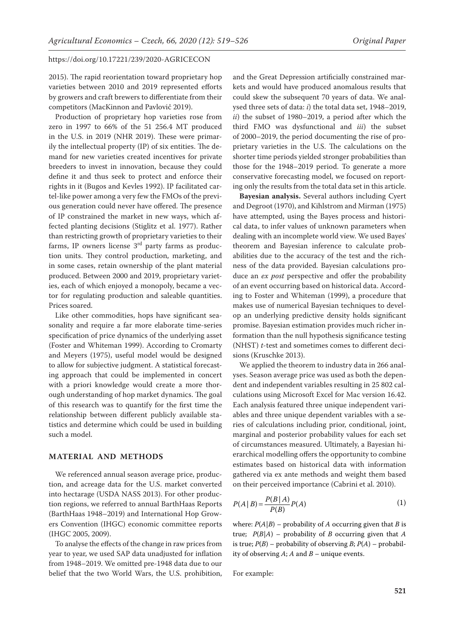2015). The rapid reorientation toward proprietary hop varieties between 2010 and 2019 represented efforts by growers and craft brewers to differentiate from their competitors (MacKinnon and Pavlovič 2019).

Production of proprietary hop varieties rose from zero in 1997 to 66% of the 51 256.4 MT produced in the U.S. in 2019 (NHR 2019). These were primarily the intellectual property (IP) of six entities. The demand for new varieties created incentives for private breeders to invest in innovation, because they could define it and thus seek to protect and enforce their rights in it (Bugos and Kevles 1992). IP facilitated cartel-like power among a very few the FMOs of the previous generation could never have offered. The presence of IP constrained the market in new ways, which affected planting decisions (Stiglitz et al. 1977). Rather than restricting growth of proprietary varieties to their farms, IP owners license  $3<sup>rd</sup>$  party farms as production units. They control production, marketing, and in some cases, retain ownership of the plant material produced. Between 2000 and 2019, proprietary varieties, each of which enjoyed a monopoly, became a vector for regulating production and saleable quantities. Prices soared.

Like other commodities, hops have significant seasonality and require a far more elaborate time-series specification of price dynamics of the underlying asset (Foster and Whiteman 1999). According to Cromarty and Meyers (1975), useful model would be designed to allow for subjective judgment. A statistical forecasting approach that could be implemented in concert with a priori knowledge would create a more thorough understanding of hop market dynamics. The goal of this research was to quantify for the first time the relationship between different publicly available statistics and determine which could be used in building such a model.

## **MATERIAL AND METHODS**

We referenced annual season average price, production, and acreage data for the U.S. market converted into hectarage (USDA NASS 2013). For other production regions, we referred to annual BarthHaas Reports (BarthHaas 1948–2019) and International Hop Growers Convention (IHGC) economic committee reports (IHGC 2005, 2009).

To analyse the effects of the change in raw prices from year to year, we used SAP data unadjusted for inflation from 1948–2019. We omitted pre-1948 data due to our belief that the two World Wars, the U.S. prohibition,

and the Great Depression artificially constrained markets and would have produced anomalous results that could skew the subsequent 70 years of data. We analysed three sets of data: *i*) the total data set, 1948–2019, *ii*) the subset of 1980–2019, a period after which the third FMO was dysfunctional and *iii*) the subset of 2000–2019, the period documenting the rise of proprietary varieties in the U.S. The calculations on the shorter time periods yielded stronger probabilities than those for the 1948–2019 period. To generate a more conservative forecasting model, we focused on reporting only the results from the total data set in this article.

**Bayesian analysis.** Several authors including Cyert and Degroot (1970), and Kihlstrom and Mirman (1975) have attempted, using the Bayes process and historical data, to infer values of unknown parameters when dealing with an incomplete world view. We used Bayes' theorem and Bayesian inference to calculate probabilities due to the accuracy of the test and the richness of the data provided. Bayesian calculations produce an *ex post* perspective and offer the probability of an event occurring based on historical data. According to Foster and Whiteman (1999), a procedure that makes use of numerical Bayesian techniques to develop an underlying predictive density holds significant promise. Bayesian estimation provides much richer information than the null hypothesis significance testing (NHST) *t*-test and sometimes comes to different decisions (Kruschke 2013).

We applied the theorem to industry data in 266 analyses. Season average price was used as both the dependent and independent variables resulting in 25 802 calculations using Microsoft Excel for Mac version 16.42. Each analysis featured three unique independent variables and three unique dependent variables with a series of calculations including prior, conditional, joint, marginal and posterior probability values for each set of circumstances measured. Ultimately, a Bayesian hierarchical modelling offers the opportunity to combine estimates based on historical data with information gathered via ex ante methods and weight them based on their perceived importance (Cabrini et al. 2010).

$$
P(A | B) = \frac{P(B | A)}{P(B)} P(A)
$$
 (1)

where:  $P(A|B)$  – probability of *A* occurring given that *B* is true;  $P(B|A)$  – probability of *B* occurring given that *A* is true;  $P(B)$  – probability of observing *B*;  $P(A)$  – probability of observing *A*; *A* and *B* – unique events.

For example: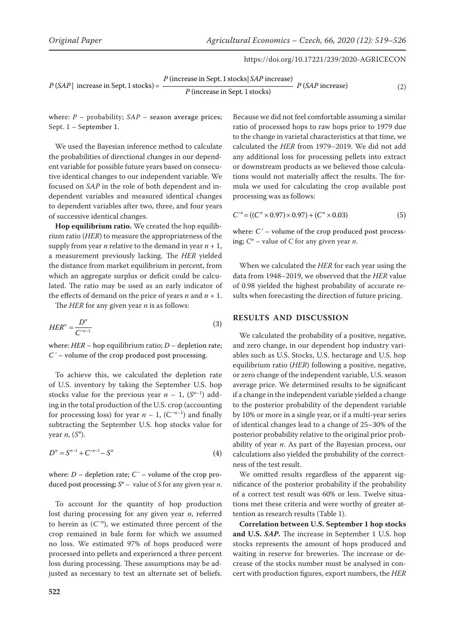$$
P(SAP | increase in Sept. 1 stocks) = \frac{P (increase in Sept. 1 stocks | SAP increase)}{P (increase in Sept. 1 stocks)}
$$
 
$$
P(SAP increase) \tag{2}
$$

*P* (increase in Sept. 1 stocks)

where:  $P$  – probability;  $SAP$  – season average prices; Sept. 1 – September 1.

We used the Bayesian inference method to calculate the probabilities of directional changes in our dependent variable for possible future years based on consecutive identical changes to our independent variable. We focused on *SAP* in the role of both dependent and independent variables and measured identical changes to dependent variables after two, three, and four years of successive identical changes.

**Hop equilibrium ratio.** We created the hop equilibrium ratio (*HER*) to measure the appropriateness of the supply from year *n* relative to the demand in year  $n + 1$ , a measurement previously lacking. The *HER* yielded the distance from market equilibrium in percent, from which an aggregate surplus or deficit could be calculated. The ratio may be used as an early indicator of the effects of demand on the price of years  $n$  and  $n + 1$ .

The *HER* for any given year *n* is as follows:

$$
HER^n = \frac{D^n}{C'^{n-1}}\tag{3}
$$

where: *HER* – hop equilibrium ratio; *D* – depletion rate; *C´* – volume of the crop produced post processing.

To achieve this, we calculated the depletion rate of U.S. inventory by taking the September U.S. hop stocks value for the previous year  $n-1$ ,  $(S^{n-1})$  adding in the total production of the U.S. crop (accounting for processing loss) for year  $n - 1$ , (C<sup> $n-1$ </sup>) and finally subtracting the September U.S. hop stocks value for year *n*, (*Sn* ).

$$
D^n = S^{n-1} + C^{n-1} - S^n \tag{4}
$$

where:  $D$  – depletion rate;  $C'$  – volume of the crop produced post processing; *S<sup>n</sup>* – value of *S* for any given year *n*.

To account for the quantity of hop production lost during processing for any given year *n*, referred to herein as (*C*´*<sup>n</sup>* ), we estimated three percent of the crop remained in bale form for which we assumed no loss. We estimated 97% of hops produced were processed into pellets and experienced a three percent loss during processing. These assumptions may be adjusted as necessary to test an alternate set of beliefs.

Because we did not feel comfortable assuming a similar ratio of processed hops to raw hops prior to 1979 due to the change in varietal characteristics at that time, we calculated the *HER* from 1979–2019. We did not add any additional loss for processing pellets into extract or downstream products as we believed those calculations would not materially affect the results. The formula we used for calculating the crop available post processing was as follows:

$$
C^{n} = ((C^{n} \times 0.97) \times 0.97) + (C^{n} \times 0.03)
$$
 (5)

where*: C´* – volume of the crop produced post processing; *C<sup>n</sup>* – value of *C* for any given year *n*.

When we calculated the *HER* for each year using the data from 1948–2019, we observed that the *HER* value of 0.98 yielded the highest probability of accurate results when forecasting the direction of future pricing.

#### **RESULTS AND DISCUSSION**

We calculated the probability of a positive, negative, and zero change, in our dependent hop industry variables such as U.S. Stocks, U.S. hectarage and U.S. hop equilibrium ratio (*HER*) following a positive, negative, or zero change of the independent variable, U.S. season average price. We determined results to be significant if a change in the independent variable yielded a change to the posterior probability of the dependent variable by 10% or more in a single year, or if a multi-year series of identical changes lead to a change of 25–30% of the posterior probability relative to the original prior probability of year *n*. As part of the Bayesian process, our calculations also yielded the probability of the correctness of the test result.

We omitted results regardless of the apparent significance of the posterior probability if the probability of a correct test result was 60% or less. Twelve situations met these criteria and were worthy of greater attention as research results (Table 1).

**Correlation between U.S. September 1 hop stocks and U.S.** *SAP***.** The increase in September 1 U.S. hop stocks represents the amount of hops produced and waiting in reserve for breweries. The increase or decrease of the stocks number must be analysed in concert with production figures, export numbers, the *HER*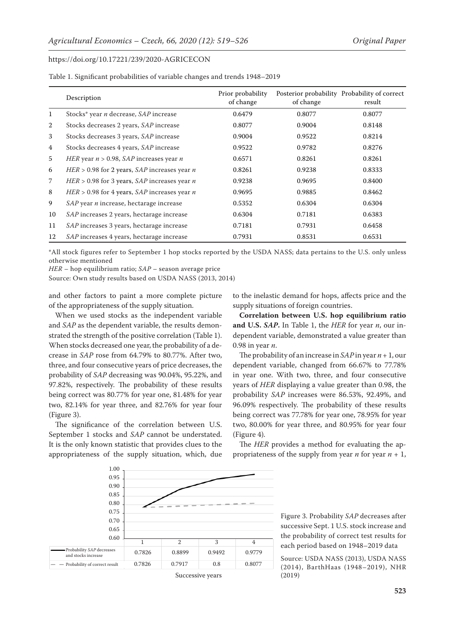|    | Description                                           | Prior probability<br>of change | of change | Posterior probability Probability of correct<br>result |
|----|-------------------------------------------------------|--------------------------------|-----------|--------------------------------------------------------|
| 1  | Stocks* year <i>n</i> decrease, SAP increase          | 0.6479                         | 0.8077    | 0.8077                                                 |
| 2  | Stocks decreases 2 years, SAP increase                | 0.8077                         | 0.9004    | 0.8148                                                 |
| 3  | Stocks decreases 3 years, SAP increase                | 0.9004                         | 0.9522    | 0.8214                                                 |
| 4  | Stocks decreases 4 years, SAP increase                | 0.9522                         | 0.9782    | 0.8276                                                 |
| 5  | HER year $n > 0.98$ , SAP increases year n            | 0.6571                         | 0.8261    | 0.8261                                                 |
| 6  | HER > 0.98 for 2 years, $SAP$ increases year <i>n</i> | 0.8261                         | 0.9238    | 0.8333                                                 |
| 7  | $HER > 0.98$ for 3 years, SAP increases year <i>n</i> | 0.9238                         | 0.9695    | 0.8400                                                 |
| 8  | HER > 0.98 for 4 years, $SAP$ increases year <i>n</i> | 0.9695                         | 0.9885    | 0.8462                                                 |
| 9  | SAP year <i>n</i> increase, hectarage increase        | 0.5352                         | 0.6304    | 0.6304                                                 |
| 10 | SAP increases 2 years, hectarage increase             | 0.6304                         | 0.7181    | 0.6383                                                 |
| 11 | SAP increases 3 years, hectarage increase             | 0.7181                         | 0.7931    | 0.6458                                                 |
| 12 | SAP increases 4 years, hectarage increase             | 0.7931                         | 0.8531    | 0.6531                                                 |

Table 1. Significant probabilities of variable changes and trends 1948–2019

\*All stock figures refer to September 1 hop stocks reported by the USDA NASS; data pertains to the U.S. only unless otherwise mentioned

*HER* – hop equilibrium ratio; *SAP* – season average price

Source: Own study results based on USDA NASS (2013, 2014)

and other factors to paint a more complete picture of the appropriateness of the supply situation.

When we used stocks as the independent variable and *SAP* as the dependent variable, the results demonstrated the strength of the positive correlation (Table 1). When stocks decreased one year, the probability of a decrease in *SAP* rose from 64.79% to 80.77%. After two, three, and four consecutive years of price decreases, the probability of *SAP* decreasing was 90.04%, 95.22%, and 97.82%, respectively. The probability of these results being correct was 80.77% for year one, 81.48% for year two, 82.14% for year three, and 82.76% for year four (Figure 3).

The significance of the correlation between U.S. September 1 stocks and *SAP* cannot be understated. It is the only known statistic that provides clues to the appropriateness of the supply situation, which, due to the inelastic demand for hops, affects price and the supply situations of foreign countries.

**Correlation between U.S. hop equilibrium ratio and U.S.** *SAP***.** In Table 1, the *HER* for year *n*, our independent variable, demonstrated a value greater than 0.98 in year *n*.

The probability of an increase in *SAP* in year *n* + 1, our dependent variable, changed from 66.67% to 77.78% in year one. With two, three, and four consecutive years of *HER* displaying a value greater than 0.98, the probability *SAP* increases were 86.53%, 92.49%, and 96.09% respectively. The probability of these results being correct was 77.78% for year one, 78.95% for year two, 80.00% for year three, and 80.95% for year four (Figure 4).

The *HER* provides a method for evaluating the appropriateness of the supply from year  $n$  for year  $n + 1$ ,



Figure 3. Probability *SAP* decreases after successive Sept. 1 U.S. stock increase and the probability of correct test results for each period based on 1948–2019 data

Source: USDA NASS (2013), USDA NASS (2014), BarthHaas (1948–2019), NHR (2019)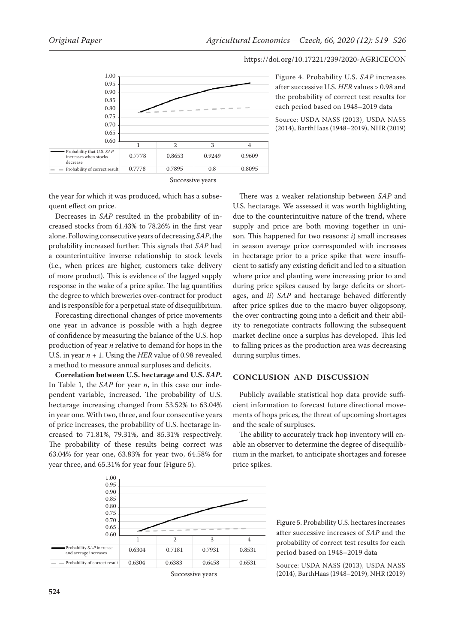

Figure 4. Probability U.S. *SAP* increases after successive U.S. *HER* values > 0.98 and the probability of correct test results for each period based on 1948–2019 data

Source: USDA NASS (2013), USDA NASS (2014), BarthHaas (1948–2019), NHR (2019)

the year for which it was produced, which has a subsequent effect on price.

Decreases in *SAP* resulted in the probability of increased stocks from 61.43% to 78.26% in the first year alone. Following consecutive years of decreasing *SAP*, the probability increased further. This signals that *SAP* had a counterintuitive inverse relationship to stock levels (i.e., when prices are higher, customers take delivery of more product). This is evidence of the lagged supply response in the wake of a price spike. The lag quantifies the degree to which breweries over-contract for product and is responsible for a perpetual state of disequilibrium.

Forecasting directional changes of price movements one year in advance is possible with a high degree of confidence by measuring the balance of the U.S. hop production of year *n* relative to demand for hops in the U.S. in year *n* + 1. Using the *HER* value of 0.98 revealed a method to measure annual surpluses and deficits.

**Correlation between U.S. hectarage and U.S.** *SAP***.**  In Table 1, the *SAP* for year *n*, in this case our independent variable, increased. The probability of U.S. hectarage increasing changed from 53.52% to 63.04% in year one. With two, three, and four consecutive years of price increases, the probability of U.S. hectarage increased to 71.81%, 79.31%, and 85.31% respectively. The probability of these results being correct was 63.04% for year one, 63.83% for year two, 64.58% for year three, and 65.31% for year four (Figure 5).



## **CONCLUSION AND DISCUSSION**

Publicly available statistical hop data provide sufficient information to forecast future directional movements of hops prices, the threat of upcoming shortages and the scale of surpluses.

The ability to accurately track hop inventory will enable an observer to determine the degree of disequilibrium in the market, to anticipate shortages and foresee price spikes.



Figure 5. Probability U.S. hectares increases after successive increases of *SAP* and the probability of correct test results for each period based on 1948–2019 data

Source: USDA NASS (2013), USDA NASS (2014), BarthHaas (1948–2019), NHR (2019)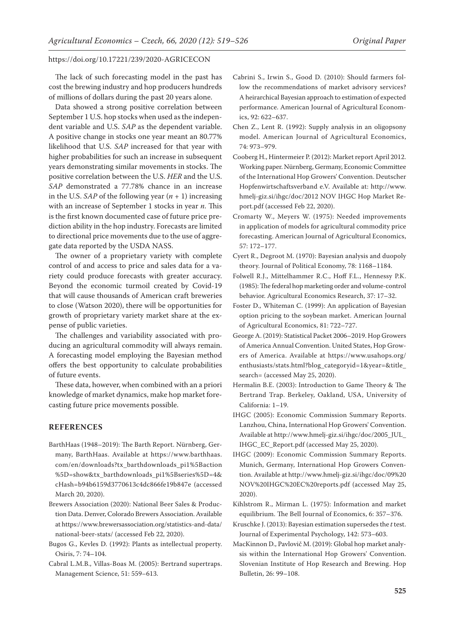The lack of such forecasting model in the past has cost the brewing industry and hop producers hundreds of millions of dollars during the past 20 years alone.

Data showed a strong positive correlation between September 1 U.S. hop stocks when used as the independent variable and U.S. *SAP* as the dependent variable. A positive change in stocks one year meant an 80.77% likelihood that U.S. *SAP* increased for that year with higher probabilities for such an increase in subsequent years demonstrating similar movements in stocks. The positive correlation between the U.S. *HER* and the U.S. *SAP* demonstrated a 77.78% chance in an increase in the U.S. *SAP* of the following year  $(n + 1)$  increasing with an increase of September 1 stocks in year *n*. This is the first known documented case of future price prediction ability in the hop industry. Forecasts are limited to directional price movements due to the use of aggregate data reported by the USDA NASS.

The owner of a proprietary variety with complete control of and access to price and sales data for a variety could produce forecasts with greater accuracy. Beyond the economic turmoil created by Covid-19 that will cause thousands of American craft breweries to close (Watson 2020), there will be opportunities for growth of proprietary variety market share at the expense of public varieties.

The challenges and variability associated with producing an agricultural commodity will always remain. A forecasting model employing the Bayesian method offers the best opportunity to calculate probabilities of future events.

These data, however, when combined with an a priori knowledge of market dynamics, make hop market forecasting future price movements possible.

## **REFERENCES**

- BarthHaas (1948–2019): The Barth Report. Nürnberg, Germany, BarthHaas. Available at [https://www.barthhaas.](https://www.barthhaas.com/en/downloads?tx_barthdownloads_pi1%5Baction%5D=show&tx_barthdownloads_pi1%5Bseries%5D=4&cHash=b94b6159d3770613c4dc866fe19b847e) [com/en/downloads?tx\\_barthdownloads\\_pi1%5Baction](https://www.barthhaas.com/en/downloads?tx_barthdownloads_pi1%5Baction%5D=show&tx_barthdownloads_pi1%5Bseries%5D=4&cHash=b94b6159d3770613c4dc866fe19b847e)  [%5D=show&tx\\_barthdownloads\\_pi1%5Bseries%5D=4&](https://www.barthhaas.com/en/downloads?tx_barthdownloads_pi1%5Baction%5D=show&tx_barthdownloads_pi1%5Bseries%5D=4&cHash=b94b6159d3770613c4dc866fe19b847e) [cHash=b94b6159d3770613c4dc866fe19b847e](https://www.barthhaas.com/en/downloads?tx_barthdownloads_pi1%5Baction%5D=show&tx_barthdownloads_pi1%5Bseries%5D=4&cHash=b94b6159d3770613c4dc866fe19b847e) (accessed March 20, 2020).
- Brewers Association (2020): National Beer Sales & Production Data. Denver, Colorado Brewers Association. Available at [https://www.brewersassociation.org/statistics-and-data/](https://www.brewersassociation.org/statistics-and-data/national-beer-stats/) [national-beer-stats/](https://www.brewersassociation.org/statistics-and-data/national-beer-stats/) (accessed Feb 22, 2020).
- Bugos G., Kevles D. (1992): Plants as intellectual property. Osiris, 7: 74–104.
- Cabral L.M.B., Villas-Boas M. (2005): Bertrand supertraps. Management Science, 51: 559–613.
- Cabrini S., Irwin S., Good D. (2010): Should farmers follow the recommendations of market advisory services? A heirarchical Bayesian approach to estimation of expected performance. American Journal of Agricultural Economics, 92: 622–637.
- Chen Z., Lent R. (1992): Supply analysis in an oligopsony model. American Journal of Agricultural Economics, 74: 973–979.
- Cooberg H., Hintermeier P. (2012): Market report April 2012. Working paper. Nürnberg, Germany, Economic Committee of the International Hop Growers' Convention. Deutscher Hopfenwirtschaftsverband e.V. Available at: [http://www.](http://www.hmelj-giz.si/ihgc/doc/2012%20NOV%20IHGC%20Hop%20Market%20Report.pdf) [hmelj-giz.si/ihgc/doc/2012 NOV IHGC Hop Market Re](http://www.hmelj-giz.si/ihgc/doc/2012%20NOV%20IHGC%20Hop%20Market%20Report.pdf)[port.pdf](http://www.hmelj-giz.si/ihgc/doc/2012%20NOV%20IHGC%20Hop%20Market%20Report.pdf) (accessed Feb 22, 2020).
- Cromarty W., Meyers W. (1975): Needed improvements in application of models for agricultural commodity price forecasting. American Journal of Agricultural Economics, 57: 172–177.
- Cyert R., Degroot M. (1970): Bayesian analysis and duopoly theory. Journal of Political Economy, 78: 1168–1184.
- Folwell R.J., Mittelhammer R.C., Hoff F.L., Hennessy P.K. (1985): The federal hop marketing order and volume-control behavior. Agricultural Economics Research, 37: 17–32.
- Foster D., Whiteman C. (1999): An application of Bayesian option pricing to the soybean market. American Journal of Agricultural Economics, 81: 722–727.
- George A. (2019): Statistical Packet 2006–2019. Hop Growers of America Annual Convention. United States, Hop Growers of America. Available at https://www.usahops.org/ enthusiasts/stats.html?blog\_categoryid=1&year=&title\_ search= (accessed May 25, 2020).
- Hermalin B.E. (2003): Introduction to Game Theory & The Bertrand Trap. Berkeley, Oakland, USA, University of California: 1–19.
- IHGC (2005): Economic Commission Summary Reports. Lanzhou, China, International Hop Growers' Convention. Available at [http://www.hmelj-giz.si/ihgc/doc/2005\\_JUL\\_](http://www.hmelj-giz.si/ihgc/doc/2005_JUL_IHGC_EC_Report.pdf ) [IHGC\\_EC\\_Report.pdf \(](http://www.hmelj-giz.si/ihgc/doc/2005_JUL_IHGC_EC_Report.pdf )accessed May 25, 2020).
- IHGC (2009): Economic Commission Summary Reports. Munich, Germany, International Hop Growers Convention. Available at [http://www.hmelj-giz.si/ihgc/doc/09%20](http://www.hmelj-giz.si/ihgc/doc/09%20NOV%20IHGC%20EC%20reports.pdf) [NOV%20IHGC%20EC%20reports.pdf](http://www.hmelj-giz.si/ihgc/doc/09%20NOV%20IHGC%20EC%20reports.pdf) (accessed May 25, 2020).
- Kihlstrom R., Mirman L. (1975): Information and market equilibrium. The Bell Journal of Economics, 6: 357–376.
- Kruschke J. (2013): Bayesian estimation supersedes the *t* test. Journal of Experimental Psychology, 142: 573–603.
- MacKinnon D., Pavlovič M. (2019): Global hop market analysis within the International Hop Growers' Convention. Slovenian Institute of Hop Research and Brewing. Hop Bulletin, 26: 99–108.